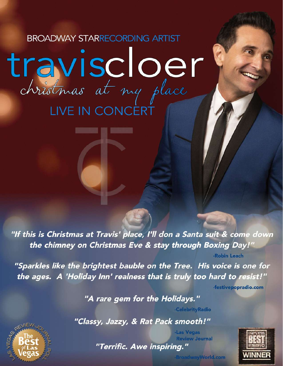## **BROADWAY STARRECORDING ARTIST** travischer Oer LIVE IN CONCERT

المنظل والماسط

"If this is Christmas at Travis' place, I'll don a Santa suit & come down the chimney on Christmas Eve & stay through Boxing Day!"

"Sparkles like the brightest bauble on the Tree. His voice is one for the ages. A 'Holiday Inn' realness that is truly too hard to resist!"

-festivepopradio.com

-Robin Leach

"A rare gem for the Holidays."

"Classy, Jazzy, & Rat Pack smooth!"

**Review Journal** "Terrific. Awe inspiring."



-BroadwayWorld.com

-CelebrityRadio

-Las Vegas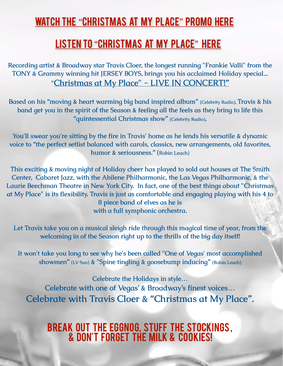## watch the "[Christmas at My Place](https://vimeo.com/466357692)" promo here

## LISTEN TO "CHRISTMAS AT MY PLACE" HERE

**Recording artist & Broadway star Travis Cloer, the longest running "Frankie Valli" from the TONY & Grammy winning hit JERSEY BOYS, brings you his acclaimed Holiday special... "Christmas at My Place" - LIVE IN CONCERT!"**

**Based on his "moving & heart warming big band inspired album" (Celebrity Radio), Travis & his band get you in the spirit of the Season & feeling all the feels as they bring to life this "quintessential Christmas show" (Celebrity Radio).** 

**You'll swear you're sitting by the fire in Travis' home as he lends his versatile & dynamic voice to "the perfect setlist balanced with carols, classics, new arrangements, old favorites, humor & seriousness." (Robin Leach)**

**This exciting & moving night of Holiday cheer has played to sold out houses at The Smith Center, Cabaret Jazz, with the Abilene Philharmonic, the Las Vegas Philharmonic, & the Laurie Beechman Theatre in New York City. In fact, one of the best things about "Christmas at My Place" is its flexibility. Travis is just as comfortable and engaging playing with his 4 to 8 piece band of elves as he is with a full symphonic orchestra.** 

**Let Travis take you on a musical sleigh ride through this magical time of year, from the welcoming in of the Season right up to the thrills of the big day itself!**

**It won't take you long to see why he's been called "One of Vegas' most accomplished showmen" (LV Sun) & "Spine tingling & goosebump inducing" (Robin Leach)**

**Celebrate the Holidays in style… Celebrate with one of Vegas' & Broadway's finest voices… Celebrate with Travis Cloer & "Christmas at My Place".** 

Break out the eggnog, stuff the stockings , & don't forget THE MILK & cookies!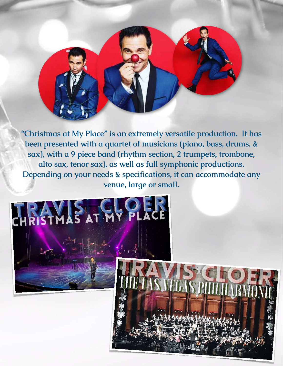**"Christmas at My Place" is an extremely versatile production. It has been presented with a quartet of musicians (piano, bass, drums, & sax), with a 9 piece band (rhythm section, 2 trumpets, trombone, alto sax, tenor sax), as well as full symphonic productions. Depending on your needs & specifications, it can accommodate any venue, large or small.**